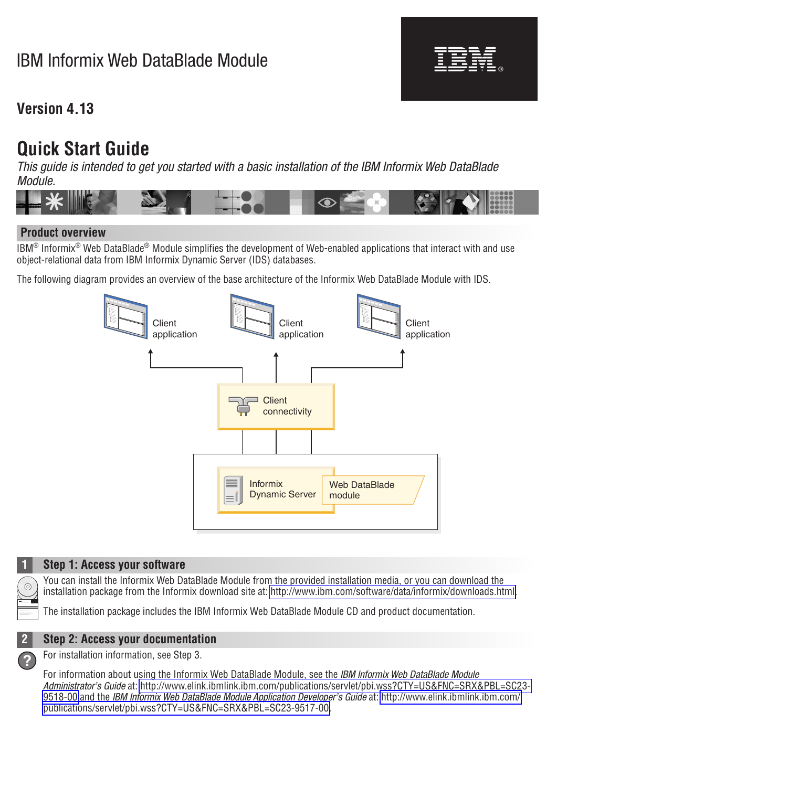# IBM Informix Web DataBlade Module

## **Version 4.13**

# **Quick Start Guide**

*This guide is intended to get you started with a basic installation of the IBM Informix Web DataBlade Module.*



-

RĒ.

### **Product overview**

 $IBM^@$  Informix<sup>®</sup> Web DataBlade<sup>®</sup> Module simplifies the development of Web-enabled applications that interact with and use object-relational data from IBM Informix Dynamic Server (IDS) databases.

The following diagram provides an overview of the base architecture of the Informix Web DataBlade Module with IDS.





#### **1 Step 1: Access your software**

You can install the Informix Web DataBlade Module from the provided installation media, or you can download the installation package from the Informix download site at: [http://www.ibm.com/software/data/informix/downloads.html.](http://www.ibm.com/software/data/informix/downloads.html)

The installation package includes the IBM Informix Web DataBlade Module CD and product documentation.



### **2 Step 2: Access your documentation**

**?** For installation information, see Step 3.

For information about using the Informix Web DataBlade Module, see the *IBM Informix Web DataBlade Module Administrator's Guide* at: [http://www.elink.ibmlink.ibm.com/publications/servlet/pbi.wss?CTY=US&FNC=SRX&PBL=SC23-](http://www.elink.ibmlink.ibm.com/publications/servlet/pbi.wss?CTY=US&FNC=SRX&PBL=SC23-9518-00) [9518-00](http://www.elink.ibmlink.ibm.com/publications/servlet/pbi.wss?CTY=US&FNC=SRX&PBL=SC23-9518-00) and the *IBM Informix Web DataBlade Module Application Developer's Guide* at: [http://www.elink.ibmlink.ibm.com/](http://www.elink.ibmlink.ibm.com/publications/servlet/pbi.wss?CTY=US&FNC=SRX&PBL=SC23-9517-00) [publications/servlet/pbi.wss?CTY=US&FNC=SRX&PBL=SC23-9517-00.](http://www.elink.ibmlink.ibm.com/publications/servlet/pbi.wss?CTY=US&FNC=SRX&PBL=SC23-9517-00)